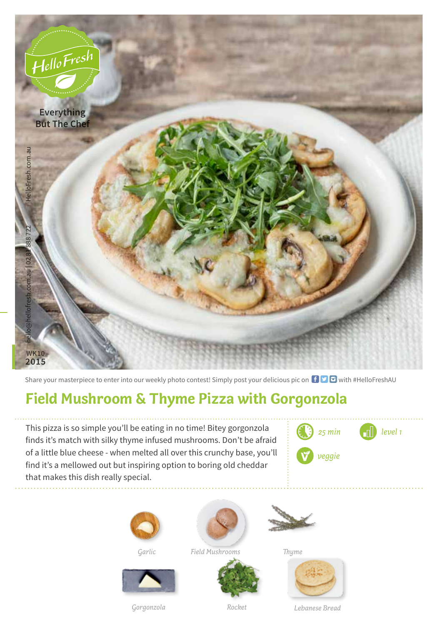

Share your masterpiece to enter into our weekly photo contest! Simply post your delicious pic on  $\bigoplus$   $\bigoplus$  with #HelloFreshAU

## **Field Mushroom & Thyme Pizza with Gorgonzola**

This pizza is so simple you'll be eating in no time! Bitey gorgonzola finds it's match with silky thyme infused mushrooms. Don't be afraid of a little blue cheese - when melted all over this crunchy base, you'll find it's a mellowed out but inspiring option to boring old cheddar that makes this dish really special.









*Garlic Field Mushrooms Thyme*







*Gorgonzola Rocket*

*Lebanese Bread*